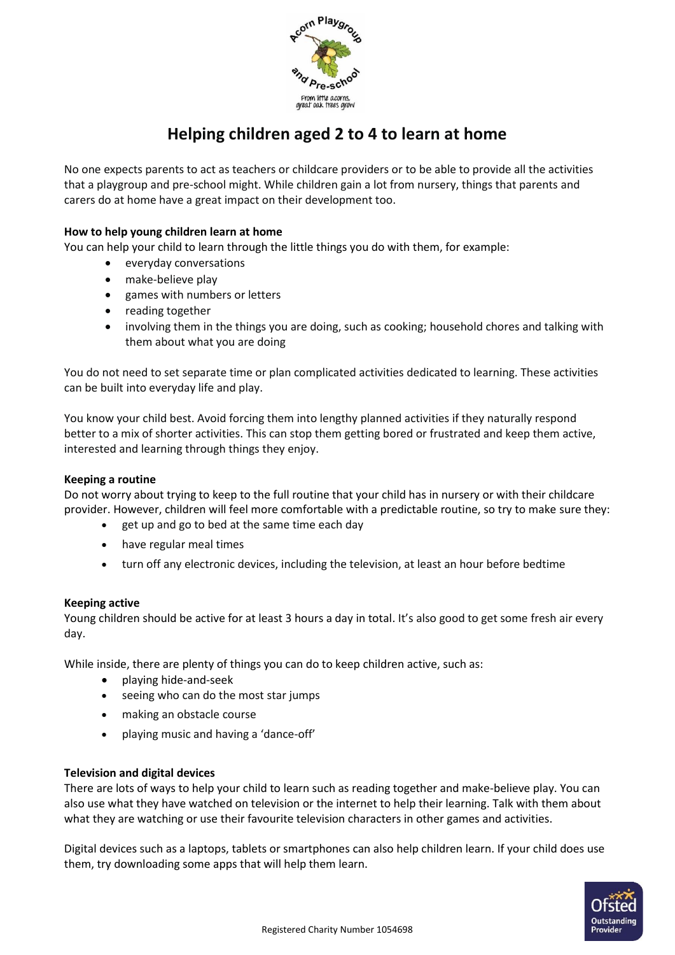

# **Helping children aged 2 to 4 to learn at home**

No one expects parents to act as teachers or childcare providers or to be able to provide all the activities that a playgroup and pre-school might. While children gain a lot from nursery, things that parents and carers do at home have a great impact on their development too.

## **How to help young children learn at home**

You can help your child to learn through the little things you do with them, for example:

- everyday conversations
- make-believe play
- games with numbers or letters
- reading together
- involving them in the things you are doing, such as cooking; household chores and talking with them about what you are doing

You do not need to set separate time or plan complicated activities dedicated to learning. These activities can be built into everyday life and play.

You know your child best. Avoid forcing them into lengthy planned activities if they naturally respond better to a mix of shorter activities. This can stop them getting bored or frustrated and keep them active, interested and learning through things they enjoy.

#### **Keeping a routine**

Do not worry about trying to keep to the full routine that your child has in nursery or with their childcare provider. However, children will feel more comfortable with a predictable routine, so try to make sure they:

- get up and go to bed at the same time each day
- have regular meal times
- turn off any electronic devices, including the television, at least an hour before bedtime

### **Keeping active**

Young children should be active for at least 3 hours a day in total. It's also good to get some fresh air every day.

While inside, there are plenty of things you can do to keep children active, such as:

- playing hide-and-seek
- seeing who can do the most star jumps
- making an obstacle course
- playing music and having a 'dance-off'

### **Television and digital devices**

There are lots of ways to help your child to learn such as reading together and make-believe play. You can also use what they have watched on television or the internet to help their learning. Talk with them about what they are watching or use their favourite television characters in other games and activities.

Digital devices such as a laptops, tablets or smartphones can also help children learn. If your child does use them, try downloading some apps that will help them learn.